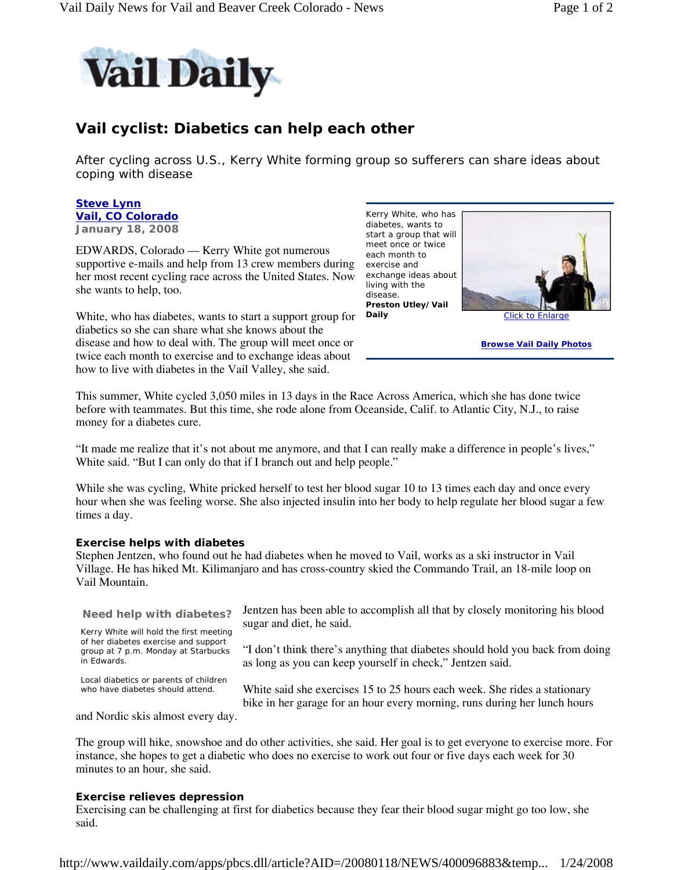

# **Vail cyclist: Diabetics can help each other**

After cycling across U.S., Kerry White forming group so sufferers can share ideas about coping with disease

### **Steve Lynn Vail, CO Colorado January 18, 2008**

EDWARDS, Colorado — Kerry White got numerous supportive e-mails and help from 13 crew members during exercise and her most recent cycling race across the United States. Now she wants to help, too.

White, who has diabetes, wants to start a support group for diabetics so she can share what she knows about the disease and how to deal with. The group will meet once or twice each month to exercise and to exchange ideas about how to live with diabetes in the Vail Valley, she said.

Kerry White, who has diabetes, wants to start a group that will meet once or twice each month to exchange ideas about living with the disease. **Preston Utley/Vail Daily** Click to Enlarge



**Browse Vail Daily Photos**

This summer, White cycled 3,050 miles in 13 days in the Race Across America, which she has done twice before with teammates. But this time, she rode alone from Oceanside, Calif. to Atlantic City, N.J., to raise money for a diabetes cure.

"It made me realize that it's not about me anymore, and that I can really make a difference in people's lives," White said. "But I can only do that if I branch out and help people."

While she was cycling, White pricked herself to test her blood sugar 10 to 13 times each day and once every hour when she was feeling worse. She also injected insulin into her body to help regulate her blood sugar a few times a day.

## **Exercise helps with diabetes**

Stephen Jentzen, who found out he had diabetes when he moved to Vail, works as a ski instructor in Vail Village. He has hiked Mt. Kilimanjaro and has cross-country skied the Commando Trail, an 18-mile loop on Vail Mountain.

sugar and diet, he said. **Need help with diabetes?** Kerry White will hold the first meeting of her diabetes exercise and support group at 7 p.m. Monday at Starbucks in Edwards.

Local diabetics or parents of children who have diabetes should attend.

Jentzen has been able to accomplish all that by closely monitoring his blood

"I don't think there's anything that diabetes should hold you back from doing as long as you can keep yourself in check," Jentzen said.

White said she exercises 15 to 25 hours each week. She rides a stationary bike in her garage for an hour every morning, runs during her lunch hours

and Nordic skis almost every day.

The group will hike, snowshoe and do other activities, she said. Her goal is to get everyone to exercise more. For instance, she hopes to get a diabetic who does no exercise to work out four or five days each week for 30 minutes to an hour, she said.

### **Exercise relieves depression**

Exercising can be challenging at first for diabetics because they fear their blood sugar might go too low, she said.

http://www.vaildaily.com/apps/pbcs.dll/article?AID=/20080118/NEWS/400096883&temp... 1/24/2008